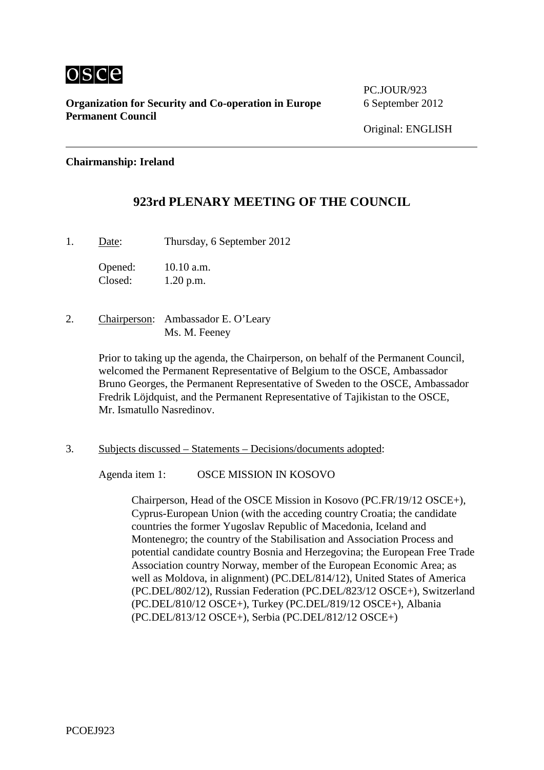

**Organization for Security and Co-operation in Europe** 6 September 2012 **Permanent Council**

PC.JOUR/923

#### **Chairmanship: Ireland**

# **923rd PLENARY MEETING OF THE COUNCIL**

1. Date: Thursday, 6 September 2012

Opened: 10.10 a.m. Closed: 1.20 p.m.

2. Chairperson: Ambassador E. O'Leary Ms. M. Feeney

> Prior to taking up the agenda, the Chairperson, on behalf of the Permanent Council, welcomed the Permanent Representative of Belgium to the OSCE, Ambassador Bruno Georges, the Permanent Representative of Sweden to the OSCE, Ambassador Fredrik Löjdquist, and the Permanent Representative of Tajikistan to the OSCE, Mr. Ismatullo Nasredinov.

3. Subjects discussed – Statements – Decisions/documents adopted:

Agenda item 1: OSCE MISSION IN KOSOVO

Chairperson, Head of the OSCE Mission in Kosovo (PC.FR/19/12 OSCE+), Cyprus-European Union (with the acceding country Croatia; the candidate countries the former Yugoslav Republic of Macedonia, Iceland and Montenegro; the country of the Stabilisation and Association Process and potential candidate country Bosnia and Herzegovina; the European Free Trade Association country Norway, member of the European Economic Area; as well as Moldova, in alignment) (PC.DEL/814/12), United States of America (PC.DEL/802/12), Russian Federation (PC.DEL/823/12 OSCE+), Switzerland (PC.DEL/810/12 OSCE+), Turkey (PC.DEL/819/12 OSCE+), Albania (PC.DEL/813/12 OSCE+), Serbia (PC.DEL/812/12 OSCE+)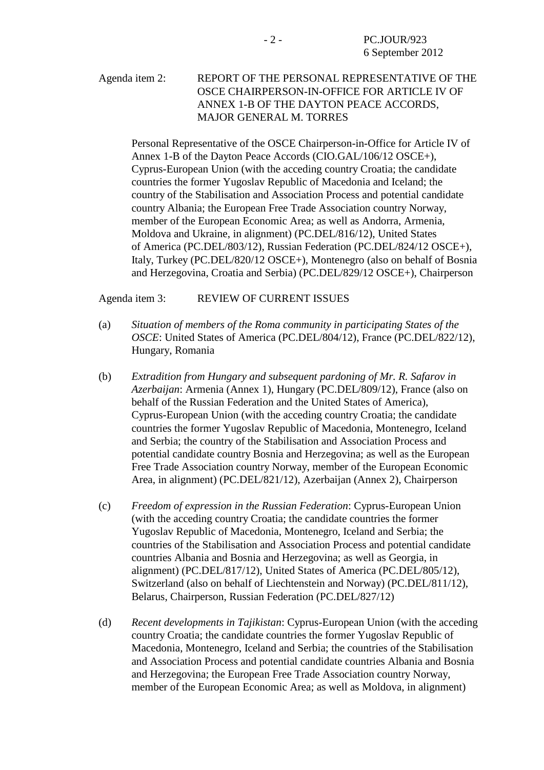#### Agenda item 2: REPORT OF THE PERSONAL REPRESENTATIVE OF THE OSCE CHAIRPERSON-IN-OFFICE FOR ARTICLE IV OF ANNEX 1-B OF THE DAYTON PEACE ACCORDS, MAJOR GENERAL M. TORRES

Personal Representative of the OSCE Chairperson-in-Office for Article IV of Annex 1-B of the Dayton Peace Accords (CIO.GAL/106/12 OSCE+), Cyprus-European Union (with the acceding country Croatia; the candidate countries the former Yugoslav Republic of Macedonia and Iceland; the country of the Stabilisation and Association Process and potential candidate country Albania; the European Free Trade Association country Norway, member of the European Economic Area; as well as Andorra, Armenia, Moldova and Ukraine, in alignment) (PC.DEL/816/12), United States of America (PC.DEL/803/12), Russian Federation (PC.DEL/824/12 OSCE+), Italy, Turkey (PC.DEL/820/12 OSCE+), Montenegro (also on behalf of Bosnia and Herzegovina, Croatia and Serbia) (PC.DEL/829/12 OSCE+), Chairperson

Agenda item 3: REVIEW OF CURRENT ISSUES

- (a) *Situation of members of the Roma community in participating States of the OSCE*: United States of America (PC.DEL/804/12), France (PC.DEL/822/12), Hungary, Romania
- (b) *Extradition from Hungary and subsequent pardoning of Mr. R. Safarov in Azerbaijan*: Armenia (Annex 1), Hungary (PC.DEL/809/12), France (also on behalf of the Russian Federation and the United States of America), Cyprus-European Union (with the acceding country Croatia; the candidate countries the former Yugoslav Republic of Macedonia, Montenegro, Iceland and Serbia; the country of the Stabilisation and Association Process and potential candidate country Bosnia and Herzegovina; as well as the European Free Trade Association country Norway, member of the European Economic Area, in alignment) (PC.DEL/821/12), Azerbaijan (Annex 2), Chairperson
- (c) *Freedom of expression in the Russian Federation*: Cyprus-European Union (with the acceding country Croatia; the candidate countries the former Yugoslav Republic of Macedonia, Montenegro, Iceland and Serbia; the countries of the Stabilisation and Association Process and potential candidate countries Albania and Bosnia and Herzegovina; as well as Georgia, in alignment) (PC.DEL/817/12), United States of America (PC.DEL/805/12), Switzerland (also on behalf of Liechtenstein and Norway) (PC.DEL/811/12), Belarus, Chairperson, Russian Federation (PC.DEL/827/12)
- (d) *Recent developments in Tajikistan*: Cyprus-European Union (with the acceding country Croatia; the candidate countries the former Yugoslav Republic of Macedonia, Montenegro, Iceland and Serbia; the countries of the Stabilisation and Association Process and potential candidate countries Albania and Bosnia and Herzegovina; the European Free Trade Association country Norway, member of the European Economic Area; as well as Moldova, in alignment)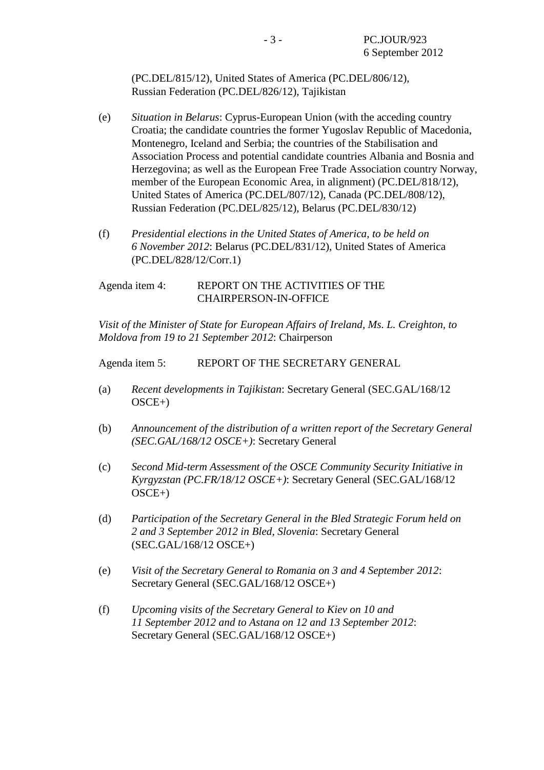(PC.DEL/815/12), United States of America (PC.DEL/806/12), Russian Federation (PC.DEL/826/12), Tajikistan

- (e) *Situation in Belarus*: Cyprus-European Union (with the acceding country Croatia; the candidate countries the former Yugoslav Republic of Macedonia, Montenegro, Iceland and Serbia; the countries of the Stabilisation and Association Process and potential candidate countries Albania and Bosnia and Herzegovina; as well as the European Free Trade Association country Norway, member of the European Economic Area, in alignment) (PC.DEL/818/12), United States of America (PC.DEL/807/12), Canada (PC.DEL/808/12), Russian Federation (PC.DEL/825/12), Belarus (PC.DEL/830/12)
- (f) *Presidential elections in the United States of America, to be held on 6 November 2012*: Belarus (PC.DEL/831/12), United States of America (PC.DEL/828/12/Corr.1)

#### Agenda item 4: REPORT ON THE ACTIVITIES OF THE CHAIRPERSON-IN-OFFICE

*Visit of the Minister of State for European Affairs of Ireland, Ms. L. Creighton, to Moldova from 19 to 21 September 2012*: Chairperson

Agenda item 5: REPORT OF THE SECRETARY GENERAL

- (a) *Recent developments in Tajikistan*: Secretary General (SEC.GAL/168/12  $OSCE+$ )
- (b) *Announcement of the distribution of a written report of the Secretary General (SEC.GAL/168/12 OSCE+)*: Secretary General
- (c) *Second Mid-term Assessment of the OSCE Community Security Initiative in Kyrgyzstan (PC.FR/18/12 OSCE+)*: Secretary General (SEC.GAL/168/12 OSCE+)
- (d) *Participation of the Secretary General in the Bled Strategic Forum held on 2 and 3 September 2012 in Bled, Slovenia*: Secretary General (SEC.GAL/168/12 OSCE+)
- (e) *Visit of the Secretary General to Romania on 3 and 4 September 2012*: Secretary General (SEC.GAL/168/12 OSCE+)
- (f) *Upcoming visits of the Secretary General to Kiev on 10 and 11 September 2012 and to Astana on 12 and 13 September 2012*: Secretary General (SEC.GAL/168/12 OSCE+)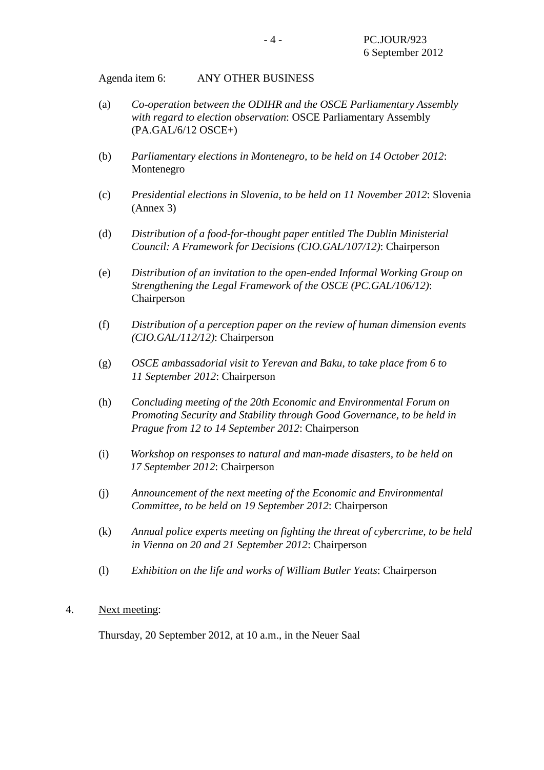Agenda item 6: ANY OTHER BUSINESS

- (a) *Co-operation between the ODIHR and the OSCE Parliamentary Assembly with regard to election observation*: OSCE Parliamentary Assembly (PA.GAL/6/12 OSCE+)
- (b) *Parliamentary elections in Montenegro, to be held on 14 October 2012*: Montenegro
- (c) *Presidential elections in Slovenia, to be held on 11 November 2012*: Slovenia (Annex 3)
- (d) *Distribution of a food-for-thought paper entitled The Dublin Ministerial Council: A Framework for Decisions (CIO.GAL/107/12)*: Chairperson
- (e) *Distribution of an invitation to the open-ended Informal Working Group on Strengthening the Legal Framework of the OSCE (PC.GAL/106/12)*: Chairperson
- (f) *Distribution of a perception paper on the review of human dimension events (CIO.GAL/112/12)*: Chairperson
- (g) *OSCE ambassadorial visit to Yerevan and Baku, to take place from 6 to 11 September 2012*: Chairperson
- (h) *Concluding meeting of the 20th Economic and Environmental Forum on Promoting Security and Stability through Good Governance, to be held in Prague from 12 to 14 September 2012*: Chairperson
- (i) *Workshop on responses to natural and man-made disasters, to be held on 17 September 2012*: Chairperson
- (j) *Announcement of the next meeting of the Economic and Environmental Committee, to be held on 19 September 2012*: Chairperson
- (k) *Annual police experts meeting on fighting the threat of cybercrime, to be held in Vienna on 20 and 21 September 2012*: Chairperson
- (l) *Exhibition on the life and works of William Butler Yeats*: Chairperson
- 4. Next meeting:

Thursday, 20 September 2012, at 10 a.m., in the Neuer Saal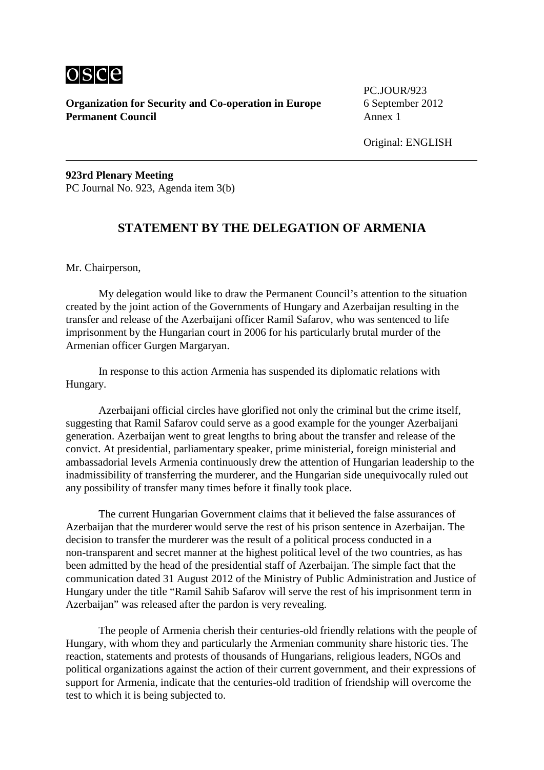

**Organization for Security and Co-operation in Europe** 6 September 2012<br>**Permanent Council** Annex 1 **Permanent Council** 

PC.JOUR/923

**923rd Plenary Meeting** PC Journal No. 923, Agenda item 3(b)

# **STATEMENT BY THE DELEGATION OF ARMENIA**

Mr. Chairperson,

My delegation would like to draw the Permanent Council's attention to the situation created by the joint action of the Governments of Hungary and Azerbaijan resulting in the transfer and release of the Azerbaijani officer Ramil Safarov, who was sentenced to life imprisonment by the Hungarian court in 2006 for his particularly brutal murder of the Armenian officer Gurgen Margaryan.

In response to this action Armenia has suspended its diplomatic relations with Hungary.

Azerbaijani official circles have glorified not only the criminal but the crime itself, suggesting that Ramil Safarov could serve as a good example for the younger Azerbaijani generation. Azerbaijan went to great lengths to bring about the transfer and release of the convict. At presidential, parliamentary speaker, prime ministerial, foreign ministerial and ambassadorial levels Armenia continuously drew the attention of Hungarian leadership to the inadmissibility of transferring the murderer, and the Hungarian side unequivocally ruled out any possibility of transfer many times before it finally took place.

The current Hungarian Government claims that it believed the false assurances of Azerbaijan that the murderer would serve the rest of his prison sentence in Azerbaijan. The decision to transfer the murderer was the result of a political process conducted in a non-transparent and secret manner at the highest political level of the two countries, as has been admitted by the head of the presidential staff of Azerbaijan. The simple fact that the communication dated 31 August 2012 of the Ministry of Public Administration and Justice of Hungary under the title "Ramil Sahib Safarov will serve the rest of his imprisonment term in Azerbaijan" was released after the pardon is very revealing.

The people of Armenia cherish their centuries-old friendly relations with the people of Hungary, with whom they and particularly the Armenian community share historic ties. The reaction, statements and protests of thousands of Hungarians, religious leaders, NGOs and political organizations against the action of their current government, and their expressions of support for Armenia, indicate that the centuries-old tradition of friendship will overcome the test to which it is being subjected to.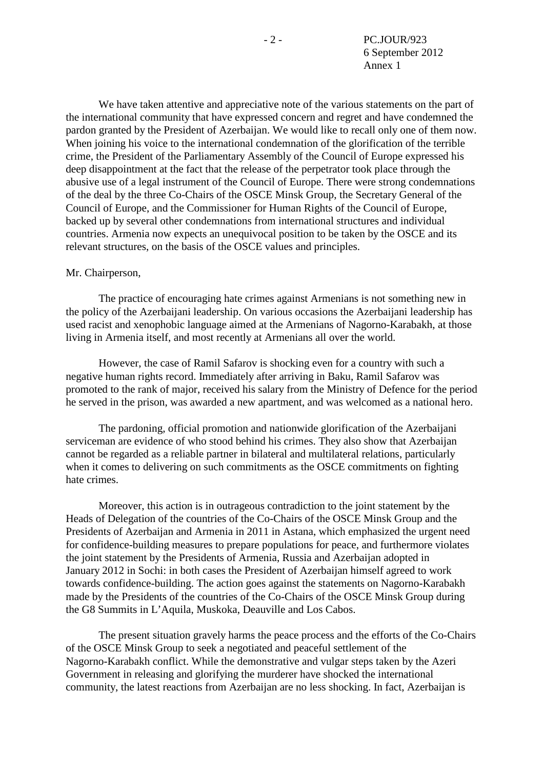We have taken attentive and appreciative note of the various statements on the part of the international community that have expressed concern and regret and have condemned the pardon granted by the President of Azerbaijan. We would like to recall only one of them now. When joining his voice to the international condemnation of the glorification of the terrible crime, the President of the Parliamentary Assembly of the Council of Europe expressed his deep disappointment at the fact that the release of the perpetrator took place through the abusive use of a legal instrument of the Council of Europe. There were strong condemnations of the deal by the three Co-Chairs of the OSCE Minsk Group, the Secretary General of the Council of Europe, and the Commissioner for Human Rights of the Council of Europe, backed up by several other condemnations from international structures and individual countries. Armenia now expects an unequivocal position to be taken by the OSCE and its relevant structures, on the basis of the OSCE values and principles.

#### Mr. Chairperson,

The practice of encouraging hate crimes against Armenians is not something new in the policy of the Azerbaijani leadership. On various occasions the Azerbaijani leadership has used racist and xenophobic language aimed at the Armenians of Nagorno-Karabakh, at those living in Armenia itself, and most recently at Armenians all over the world.

However, the case of Ramil Safarov is shocking even for a country with such a negative human rights record. Immediately after arriving in Baku, Ramil Safarov was promoted to the rank of major, received his salary from the Ministry of Defence for the period he served in the prison, was awarded a new apartment, and was welcomed as a national hero.

The pardoning, official promotion and nationwide glorification of the Azerbaijani serviceman are evidence of who stood behind his crimes. They also show that Azerbaijan cannot be regarded as a reliable partner in bilateral and multilateral relations, particularly when it comes to delivering on such commitments as the OSCE commitments on fighting hate crimes.

Moreover, this action is in outrageous contradiction to the joint statement by the Heads of Delegation of the countries of the Co-Chairs of the OSCE Minsk Group and the Presidents of Azerbaijan and Armenia in 2011 in Astana, which emphasized the urgent need for confidence-building measures to prepare populations for peace, and furthermore violates the joint statement by the Presidents of Armenia, Russia and Azerbaijan adopted in January 2012 in Sochi: in both cases the President of Azerbaijan himself agreed to work towards confidence-building. The action goes against the statements on Nagorno-Karabakh made by the Presidents of the countries of the Co-Chairs of the OSCE Minsk Group during the G8 Summits in L'Aquila, Muskoka, Deauville and Los Cabos.

The present situation gravely harms the peace process and the efforts of the Co-Chairs of the OSCE Minsk Group to seek a negotiated and peaceful settlement of the Nagorno-Karabakh conflict. While the demonstrative and vulgar steps taken by the Azeri Government in releasing and glorifying the murderer have shocked the international community, the latest reactions from Azerbaijan are no less shocking. In fact, Azerbaijan is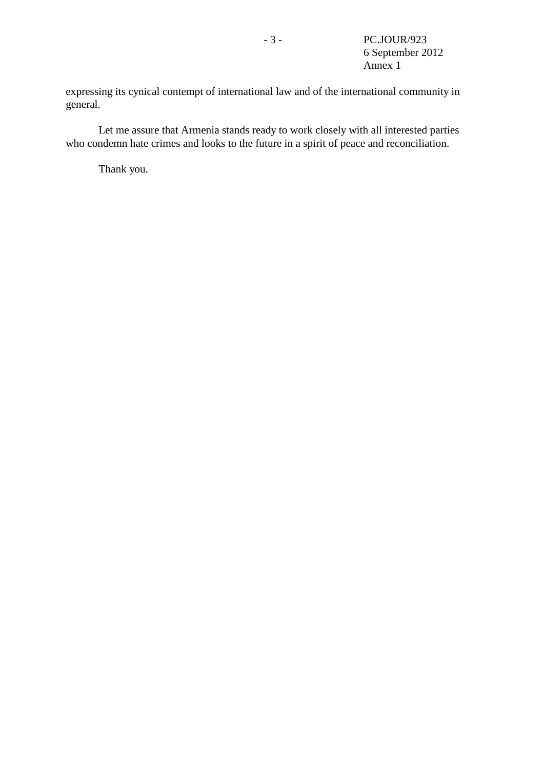expressing its cynical contempt of international law and of the international community in general.

Let me assure that Armenia stands ready to work closely with all interested parties who condemn hate crimes and looks to the future in a spirit of peace and reconciliation.

Thank you.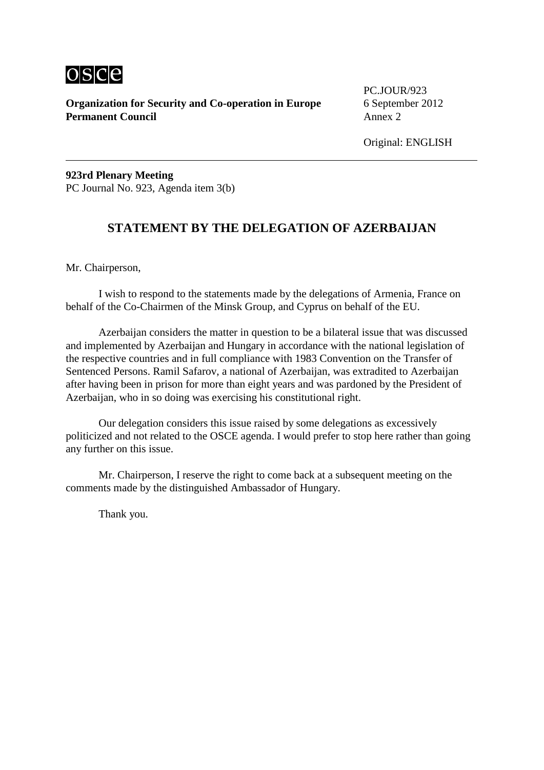

**Organization for Security and Co-operation in Europe** 6 September 2012<br>**Permanent Council** Annex 2 **Permanent Council** 

PC.JOUR/923

**923rd Plenary Meeting** PC Journal No. 923, Agenda item 3(b)

# **STATEMENT BY THE DELEGATION OF AZERBAIJAN**

Mr. Chairperson,

I wish to respond to the statements made by the delegations of Armenia, France on behalf of the Co-Chairmen of the Minsk Group, and Cyprus on behalf of the EU.

Azerbaijan considers the matter in question to be a bilateral issue that was discussed and implemented by Azerbaijan and Hungary in accordance with the national legislation of the respective countries and in full compliance with 1983 Convention on the Transfer of Sentenced Persons. Ramil Safarov, a national of Azerbaijan, was extradited to Azerbaijan after having been in prison for more than eight years and was pardoned by the President of Azerbaijan, who in so doing was exercising his constitutional right.

Our delegation considers this issue raised by some delegations as excessively politicized and not related to the OSCE agenda. I would prefer to stop here rather than going any further on this issue.

Mr. Chairperson, I reserve the right to come back at a subsequent meeting on the comments made by the distinguished Ambassador of Hungary.

Thank you.